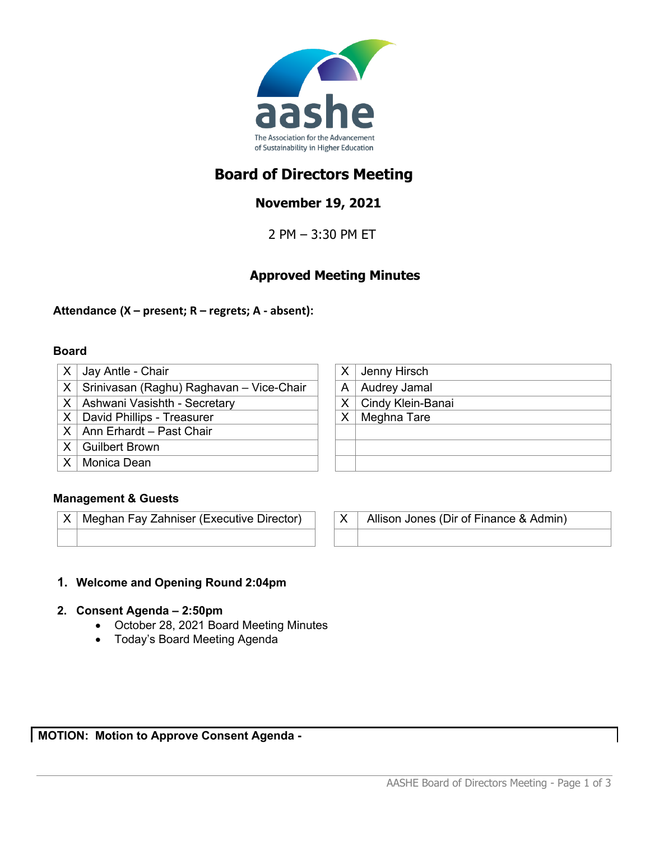

# **Board of Directors Meeting**

## **November 19, 2021**

2 PM – 3:30 PM ET

## **Approved Meeting Minutes**

### **Attendance (X – present; R – regrets; A - absent):**

#### **Board**

- $X \mid$  Jay Antle Chair  $X \mid X \mid$  Jenny Hirsch
- $X$  Srinivasan (Raghu) Raghavan Vice-Chair  $|A|$  A Audrey Jamal
- $X$  Ashwani Vasishth Secretary  $X$   $X$  Cindy Klein-Banai
- $X$  David Phillips Treasurer  $X$  X Meghna Tare
- $X$  Ann Erhardt Past Chair
- X Guilbert Brown
- X Monica Dean

### **Management & Guests**

 $X \mid M$ eghan Fay Zahniser (Executive Director)  $\mid X \mid M$ llison Jones (Dir of Finance & Admin)

- **1. Welcome and Opening Round 2:04pm**
- **2. Consent Agenda – 2:50pm**
	- October 28, 2021 Board Meeting Minutes
	- Today's Board Meeting Agenda

**MOTION: Motion to Approve Consent Agenda -**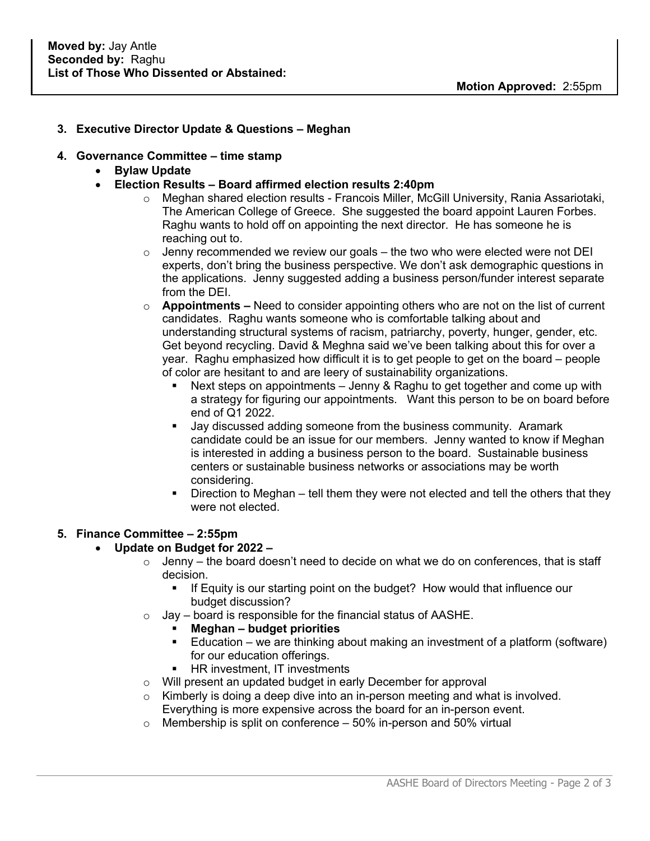#### **3. Executive Director Update & Questions – Meghan**

#### **4. Governance Committee – time stamp**

- **Bylaw Update**
- **Election Results – Board affirmed election results 2:40pm**
	- o Meghan shared election results Francois Miller, McGill University, Rania Assariotaki, The American College of Greece. She suggested the board appoint Lauren Forbes. Raghu wants to hold off on appointing the next director. He has someone he is reaching out to.
	- $\circ$  Jenny recommended we review our goals the two who were elected were not DEI experts, don't bring the business perspective. We don't ask demographic questions in the applications. Jenny suggested adding a business person/funder interest separate from the DEI.
	- o **Appointments –** Need to consider appointing others who are not on the list of current candidates. Raghu wants someone who is comfortable talking about and understanding structural systems of racism, patriarchy, poverty, hunger, gender, etc. Get beyond recycling. David & Meghna said we've been talking about this for over a year. Raghu emphasized how difficult it is to get people to get on the board – people of color are hesitant to and are leery of sustainability organizations.
		- Next steps on appointments Jenny & Raghu to get together and come up with a strategy for figuring our appointments. Want this person to be on board before end of Q1 2022.
		- Jay discussed adding someone from the business community. Aramark candidate could be an issue for our members. Jenny wanted to know if Meghan is interested in adding a business person to the board. Sustainable business centers or sustainable business networks or associations may be worth considering.
		- Direction to Meghan tell them they were not elected and tell the others that they were not elected.

#### **5. Finance Committee – 2:55pm**

#### • **Update on Budget for 2022 –**

- $\circ$  Jenny the board doesn't need to decide on what we do on conferences, that is staff decision.
	- § If Equity is our starting point on the budget? How would that influence our budget discussion?
- $\circ$  Jay board is responsible for the financial status of AASHE.
	- § **Meghan – budget priorities**
	- Education we are thinking about making an investment of a platform (software) for our education offerings.
	- HR investment, IT investments
- o Will present an updated budget in early December for approval
- $\circ$  Kimberly is doing a deep dive into an in-person meeting and what is involved. Everything is more expensive across the board for an in-person event.
- $\circ$  Membership is split on conference 50% in-person and 50% virtual